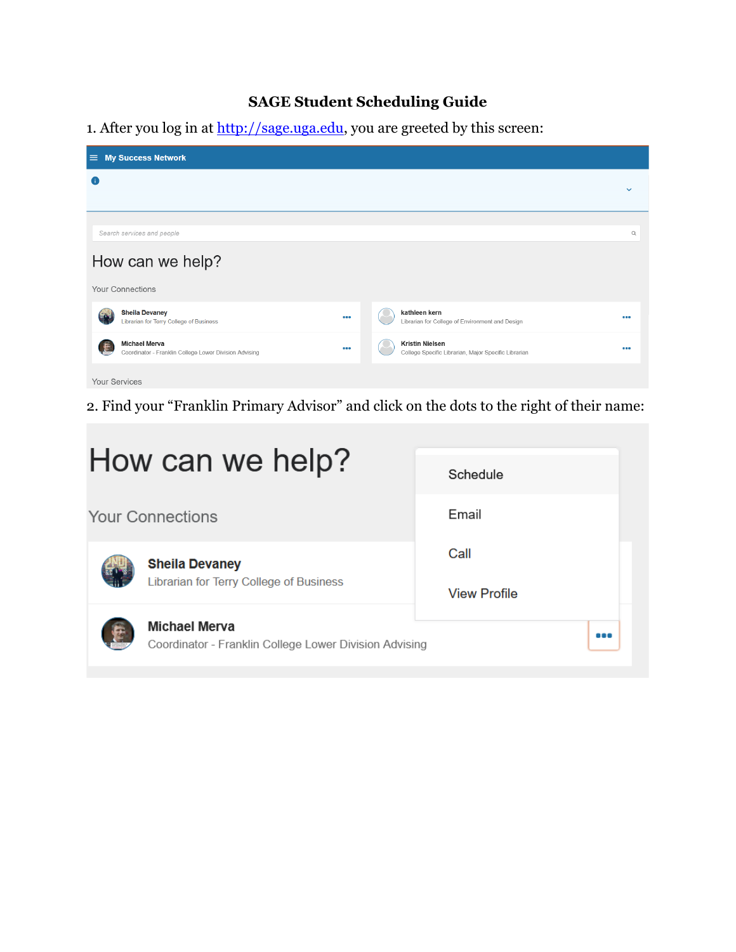## **SAGE Student Scheduling Guide**

1. After you log in at [http://sage.uga.edu,](http://sage.uga.edu/) you are greeted by this screen:

| $\equiv$ My Success Network                                                    |     |                                                                                |              |
|--------------------------------------------------------------------------------|-----|--------------------------------------------------------------------------------|--------------|
| Œ                                                                              |     |                                                                                | $\checkmark$ |
|                                                                                |     |                                                                                |              |
| Search services and people                                                     |     |                                                                                | $\mathsf Q$  |
| How can we help?                                                               |     |                                                                                |              |
| <b>Your Connections</b>                                                        |     |                                                                                |              |
| <b>Sheila Devaney</b><br><b>GMA</b><br>Librarian for Terry College of Business | 000 | kathleen kern<br>Librarian for College of Environment and Design               |              |
| <b>Michael Merva</b><br>Coordinator - Franklin College Lower Division Advising |     | <b>Kristin Nielsen</b><br>College Specific Librarian, Major Specific Librarian |              |
| Your Services                                                                  |     |                                                                                |              |

2. Find your "Franklin Primary Advisor" and click on the dots to the right of their name:

| How can we help?                                                               | Schedule                    |
|--------------------------------------------------------------------------------|-----------------------------|
| <b>Your Connections</b>                                                        | Email                       |
| <b>Sheila Devaney</b><br>Librarian for Terry College of Business               | Call<br><b>View Profile</b> |
| <b>Michael Merva</b><br>Coordinator - Franklin College Lower Division Advising |                             |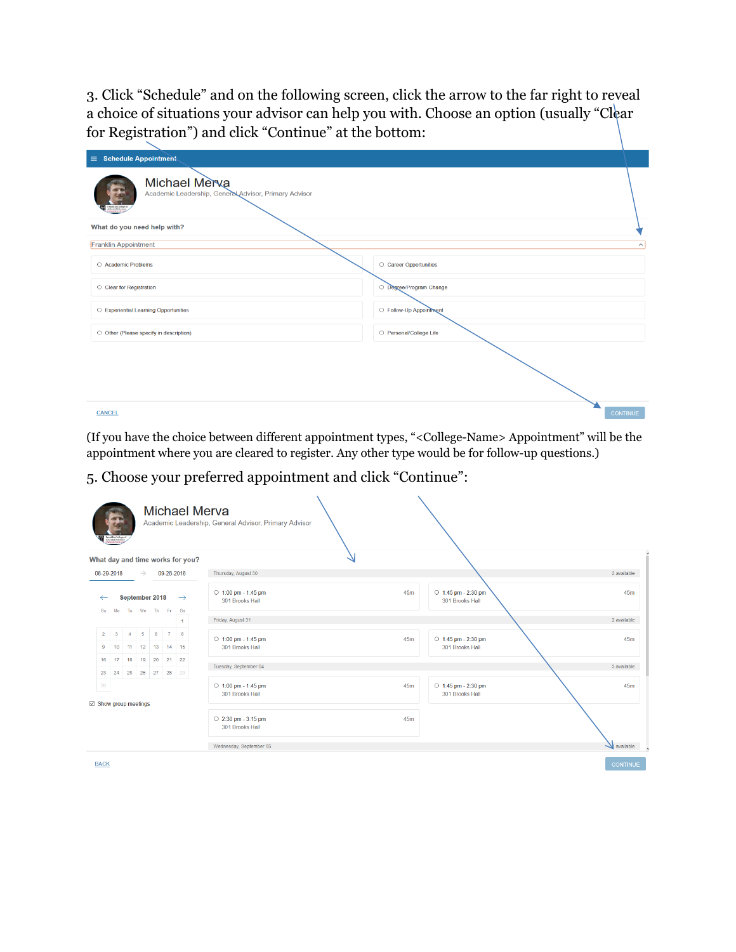3. Click "Schedule" and on the following screen, click the arrow to the far right to reveal a choice of situations your advisor can help you with. Choose an option (usually "Clear for Registration") and click "Continue" at the bottom:

| $\sim$<br>$\equiv$ Schedule Appointment                                                                                                               |                         |
|-------------------------------------------------------------------------------------------------------------------------------------------------------|-------------------------|
| Michael Merva<br>Academic Leadership, General Advisor, Primary Advisor<br><b>Franklin College of</b><br>Arts and Sciences<br><b>UNIVERSITY OF GLO</b> |                         |
| What do you need help with?                                                                                                                           |                         |
| <b>Franklin Appointment</b>                                                                                                                           | $\sim$                  |
| ○ Academic Problems                                                                                                                                   | C Career Opportunities  |
| ○ Clear for Registration                                                                                                                              | O Degree/Program Change |
| O Experiential Learning Opportunities                                                                                                                 | ○ Follow-Up Appointment |
| O Other (Please specify in description)                                                                                                               | O Personal/College Life |
|                                                                                                                                                       |                         |
| <b>CANCEL</b>                                                                                                                                         | <b>CONTINUE</b>         |

(If you have the choice between different appointment types, "<College-Name> Appointment" will be the appointment where you are cleared to register. Any other type would be for follow-up questions.)

5. Choose your preferred appointment and click "Continue":

| Franklin College of<br>Arts and Sciences<br>UNIVERSITY OF GR |                |               |                                     |            |                | <b>Michael Merva</b><br>Academic Leadership, General Advisor, Primary Advisor |                                                            |
|--------------------------------------------------------------|----------------|---------------|-------------------------------------|------------|----------------|-------------------------------------------------------------------------------|------------------------------------------------------------|
| What day and time works for you?                             |                |               |                                     |            |                |                                                                               |                                                            |
| 08-29-2018                                                   |                | $\rightarrow$ |                                     | 09-28-2018 |                | Thursday, August 30                                                           | 2 available                                                |
| Su<br>Mo                                                     |                |               | September 2018<br>Tu We Th Fr Sa    |            | $\rightarrow$  | $\circ$ 1:00 pm - 1:45 pm<br>301 Brooks Hall                                  | $\circ$ 1:45 pm - 2:30 pm<br>45m<br>45m<br>301 Brooks Hall |
|                                                              |                |               |                                     |            | $\overline{1}$ | Friday, August 31                                                             | 2 available                                                |
| $\overline{2}$<br>$\mathbf{3}$<br>10<br>9                    | $\overline{4}$ |               | $5 \t 6$<br>11 12 13 14 15          | 7 8        |                | $\circ$ 1:00 pm - 1:45 pm<br>301 Brooks Hall                                  | 45m<br>○ 1:45 pm - 2:30 pm<br>45m<br>301 Brooks Hall       |
| 17<br>16<br>23                                               |                |               | 18 19 20 21 22<br>24 25 26 27 28 29 |            |                | Tuesday, September 04                                                         | 3 available                                                |
| 30<br>⊠ Show group meetings                                  |                |               |                                     |            |                | $\circ$ 1:00 pm - 1:45 pm<br>301 Brooks Hall                                  | $\circ$ 1:45 pm - 2:30 pm<br>45m<br>45m<br>301 Brooks Hall |
|                                                              |                |               |                                     |            |                | $\circ$ 2:30 pm - 3:15 pm<br>301 Brooks Hall                                  | 45m                                                        |
|                                                              |                |               |                                     |            |                | Wednesday, September 05                                                       | available                                                  |
| <b>BACK</b>                                                  |                |               |                                     |            |                |                                                                               | <b>CONTINUE</b>                                            |